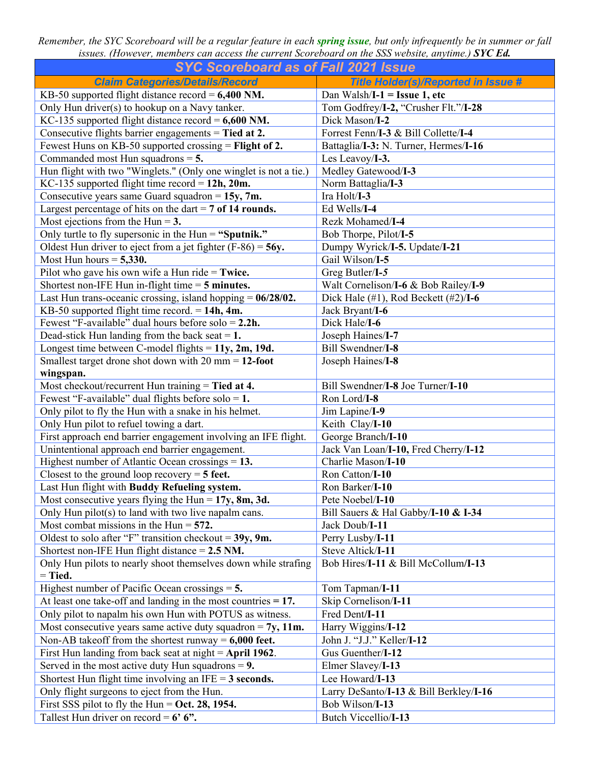*Remember, the SYC Scoreboard will be a regular feature in each spring issue, but only infrequently be in summer or fall issues. (However, members can access the current Scoreboard on the SSS website, anytime.) SYC Ed.* 

| <b>SYC Scoreboard as of Fall 2021 Issue</b>                           |                                            |  |  |
|-----------------------------------------------------------------------|--------------------------------------------|--|--|
| <b>Claim Categories/Details/Record</b>                                | <b>Title Holder(s)/Reported in Issue #</b> |  |  |
| KB-50 supported flight distance record = $6,400$ NM.                  | Dan Walsh/I-1 = Issue 1, etc               |  |  |
| Only Hun driver(s) to hookup on a Navy tanker.                        | Tom Godfrey/I-2, "Crusher Flt."/I-28       |  |  |
| KC-135 supported flight distance record = $6,600$ NM.                 | Dick Mason/I-2                             |  |  |
| Consecutive flights barrier engagements = Tied at $2$ .               | Forrest Fenn/I-3 & Bill Collette/I-4       |  |  |
| Fewest Huns on KB-50 supported crossing = Flight of 2.                | Battaglia/I-3: N. Turner, Hermes/I-16      |  |  |
| Commanded most Hun squadrons $=$ 5.                                   | Les Leavoy/I-3.                            |  |  |
| Hun flight with two "Winglets." (Only one winglet is not a tie.)      | Medley Gatewood/I-3                        |  |  |
| KC-135 supported flight time record = $12h$ , $20m$ .                 | Norm Battaglia/I-3                         |  |  |
| Consecutive years same Guard squadron = $15y$ , 7m.                   | Ira Holt/I-3                               |  |  |
| Largest percentage of hits on the dart $= 7$ of 14 rounds.            | Ed Wells/I-4                               |  |  |
| Most ejections from the Hun = $3$ .                                   | Rezk Mohamed/I-4                           |  |  |
| Only turtle to fly supersonic in the Hun = "Sputnik."                 | Bob Thorpe, Pilot/I-5                      |  |  |
| Oldest Hun driver to eject from a jet fighter $(F-86) = 56y$ .        | Dumpy Wyrick/I-5. Update/I-21              |  |  |
| Most Hun hours = $5,330$ .                                            | Gail Wilson/I-5                            |  |  |
| Pilot who gave his own wife a Hun ride $=$ Twice.                     | Greg Butler/I-5                            |  |  |
| Shortest non-IFE Hun in-flight time $=$ 5 minutes.                    | Walt Cornelison/I-6 & Bob Railey/I-9       |  |  |
| Last Hun trans-oceanic crossing, island hopping $= 06/28/02$ .        | Dick Hale (#1), Rod Beckett (#2)/I-6       |  |  |
| KB-50 supported flight time record. $= 14h$ , 4m.                     | Jack Bryant/I-6                            |  |  |
| Fewest "F-available" dual hours before solo = $2.2h$ .                | Dick Hale/I-6                              |  |  |
| Dead-stick Hun landing from the back seat $= 1$ .                     | Joseph Haines/I-7                          |  |  |
| Longest time between C-model flights = $11y$ , $2m$ , $19d$ .         | Bill Swendner/I-8                          |  |  |
| Smallest target drone shot down with $20 \text{ mm} = 12\text{-foot}$ | Joseph Haines/I-8                          |  |  |
| wingspan.                                                             |                                            |  |  |
| Most checkout/recurrent Hun training = Tied at 4.                     | Bill Swendner/I-8 Joe Turner/I-10          |  |  |
| Fewest "F-available" dual flights before solo = $1$ .                 | Ron Lord/I-8                               |  |  |
| Only pilot to fly the Hun with a snake in his helmet.                 | Jim Lapine/I-9                             |  |  |
| Only Hun pilot to refuel towing a dart.                               | Keith Clay/I-10                            |  |  |
| First approach end barrier engagement involving an IFE flight.        | George Branch/I-10                         |  |  |
| Unintentional approach end barrier engagement.                        | Jack Van Loan/I-10, Fred Cherry/I-12       |  |  |
| Highest number of Atlantic Ocean crossings $= 13$ .                   | Charlie Mason/I-10                         |  |  |
| Closest to the ground loop recovery $=$ 5 feet.                       | Ron Catton/I-10                            |  |  |
| Last Hun flight with Buddy Refueling system.                          | Ron Barker/I-10                            |  |  |
| Most consecutive years flying the Hun = $17y$ , 8m, 3d.               | Pete Noebel/I-10                           |  |  |
| Only Hun pilot(s) to land with two live napalm cans.                  | Bill Sauers & Hal Gabby/I-10 & I-34        |  |  |
| Most combat missions in the Hun $=$ 572.                              | Jack Doub/I-11                             |  |  |
| Oldest to solo after "F" transition checkout = $39y$ , 9m.            | Perry Lusby/I-11                           |  |  |
| Shortest non-IFE Hun flight distance $= 2.5$ NM.                      | Steve Altick/I-11                          |  |  |
| Only Hun pilots to nearly shoot themselves down while strafing        | Bob Hires/I-11 & Bill McCollum/I-13        |  |  |
| $=$ Tied.                                                             |                                            |  |  |
| Highest number of Pacific Ocean crossings $= 5$ .                     | Tom Tapman/I-11                            |  |  |
| At least one take-off and landing in the most countries $= 17$ .      | Skip Cornelison/I-11                       |  |  |
| Only pilot to napalm his own Hun with POTUS as witness.               | Fred Dent/I-11                             |  |  |
| Most consecutive years same active duty squadron = $7y$ , 11m.        | Harry Wiggins/I-12                         |  |  |
| Non-AB takeoff from the shortest runway = $6,000$ feet.               | John J. "J.J." Keller/I-12                 |  |  |
| First Hun landing from back seat at night = $April 1962$ .            | Gus Guenther/I-12                          |  |  |
| Served in the most active duty Hun squadrons $= 9$ .                  | Elmer Slavey/I-13                          |  |  |
| Shortest Hun flight time involving an IFE = $3$ seconds.              | Lee Howard/I-13                            |  |  |
| Only flight surgeons to eject from the Hun.                           | Larry DeSanto/I-13 & Bill Berkley/I-16     |  |  |
| First SSS pilot to fly the Hun = Oct. 28, 1954.                       | Bob Wilson/I-13                            |  |  |
| Tallest Hun driver on record = $6'$ 6".                               | Butch Viccellio/I-13                       |  |  |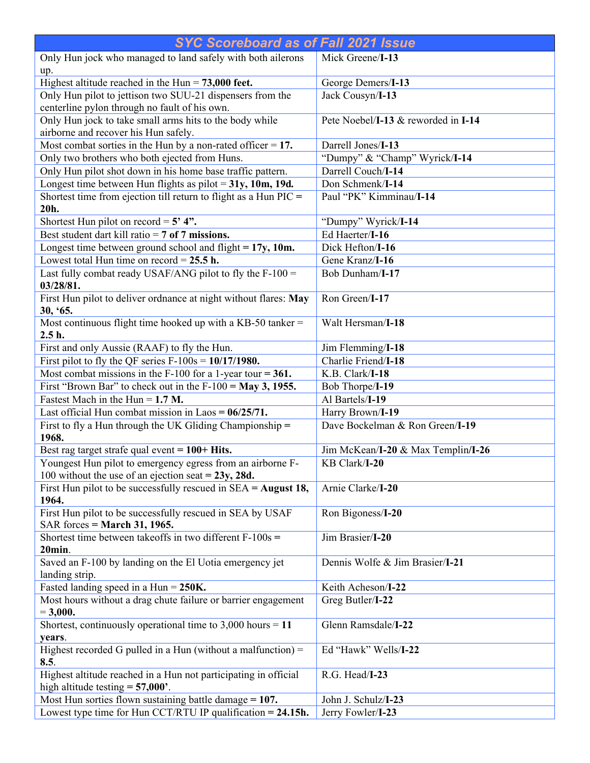| <b>SYC Scoreboard as of Fall 2021 Issue</b>                                                                |                                     |  |
|------------------------------------------------------------------------------------------------------------|-------------------------------------|--|
| Only Hun jock who managed to land safely with both ailerons<br>up.                                         | Mick Greene/I-13                    |  |
| Highest altitude reached in the Hun $= 73,000$ feet.                                                       | George Demers/I-13                  |  |
| Only Hun pilot to jettison two SUU-21 dispensers from the<br>centerline pylon through no fault of his own. | Jack Cousyn/I-13                    |  |
| Only Hun jock to take small arms hits to the body while<br>airborne and recover his Hun safely.            | Pete Noebel/I-13 & reworded in I-14 |  |
| Most combat sorties in the Hun by a non-rated officer $= 17$ .                                             | Darrell Jones/I-13                  |  |
| Only two brothers who both ejected from Huns.                                                              | "Dumpy" & "Champ" Wyrick/I-14       |  |
| Only Hun pilot shot down in his home base traffic pattern.                                                 | Darrell Couch/I-14                  |  |
| Longest time between Hun flights as pilot = $31y$ , 10m, 19d.                                              | Don Schmenk/I-14                    |  |
| Shortest time from ejection till return to flight as a Hun $\text{PIC} =$<br>20h.                          | Paul "PK" Kimminau/I-14             |  |
| Shortest Hun pilot on record = $5'$ 4".                                                                    | "Dumpy" Wyrick/I-14                 |  |
| Best student dart kill ratio = $7$ of $7$ missions.                                                        | Ed Haerter/I-16                     |  |
| Longest time between ground school and flight $= 17y$ , 10m.                                               | Dick Hefton/I-16                    |  |
| Lowest total Hun time on record = $25.5$ h.                                                                | Gene Kranz/I-16                     |  |
| Last fully combat ready USAF/ANG pilot to fly the $F-100 =$<br>03/28/81.                                   | Bob Dunham/I-17                     |  |
| First Hun pilot to deliver ordnance at night without flares: May<br>30, '65.                               | Ron Green/I-17                      |  |
| Most continuous flight time hooked up with a KB-50 tanker =<br>$2.5h$ .                                    | Walt Hersman/I-18                   |  |
| First and only Aussie (RAAF) to fly the Hun.                                                               | Jim Flemming/I-18                   |  |
| First pilot to fly the QF series $F-100s = 10/17/1980$ .                                                   | Charlie Friend/I-18                 |  |
| Most combat missions in the F-100 for a 1-year tour = $361$ .                                              | K.B. Clark/I-18                     |  |
| First "Brown Bar" to check out in the $F-100 =$ May 3, 1955.                                               | Bob Thorpe/I-19                     |  |
| Fastest Mach in the Hun = $1.7$ M.                                                                         | Al Bartels/I-19                     |  |
| Last official Hun combat mission in Laos = $06/25/71$ .                                                    | Harry Brown/I-19                    |  |
| First to fly a Hun through the UK Gliding Championship =<br>1968.                                          | Dave Bockelman & Ron Green/I-19     |  |
| Best rag target strafe qual event $= 100 + H$ its.                                                         | Jim McKean/I-20 & Max Templin/I-26  |  |
| Youngest Hun pilot to emergency egress from an airborne F-                                                 | KB Clark/I-20                       |  |
| 100 without the use of an ejection seat = $23y$ , 28d.                                                     |                                     |  |
| First Hun pilot to be successfully rescued in $SEA = August 18$ ,<br>1964.                                 | Arnie Clarke/I-20                   |  |
| First Hun pilot to be successfully rescued in SEA by USAF<br>SAR forces = March 31, 1965.                  | Ron Bigoness/I-20                   |  |
| Shortest time between takeoffs in two different $F-100s =$<br>$20$ min.                                    | Jim Brasier/I-20                    |  |
| Saved an F-100 by landing on the El Uotia emergency jet<br>landing strip.                                  | Dennis Wolfe & Jim Brasier/I-21     |  |
| Fasted landing speed in a Hun = $250K$ .                                                                   | Keith Acheson/I-22                  |  |
| Most hours without a drag chute failure or barrier engagement                                              | Greg Butler/I-22                    |  |
| $= 3,000.$                                                                                                 |                                     |  |
| Shortest, continuously operational time to $3,000$ hours = 11<br>years.                                    | Glenn Ramsdale/I-22                 |  |
| Highest recorded G pulled in a Hun (without a malfunction) $=$<br>8.5.                                     | Ed "Hawk" Wells/I-22                |  |
| Highest altitude reached in a Hun not participating in official<br>high altitude testing $= 57,000$ .      | R.G. Head/I-23                      |  |
| Most Hun sorties flown sustaining battle damage $= 107$ .                                                  | John J. Schulz/I-23                 |  |
| Lowest type time for Hun CCT/RTU IP qualification = 24.15h.                                                | Jerry Fowler/I-23                   |  |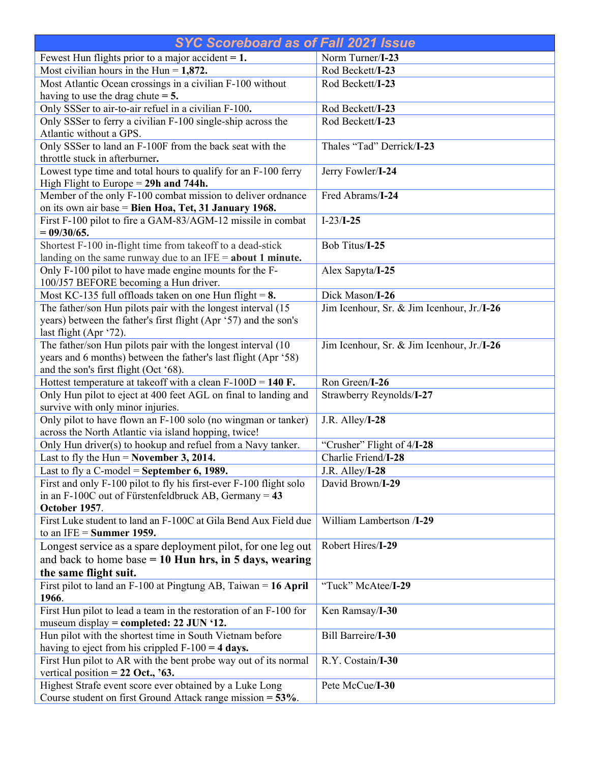| <b>SYC Scoreboard as of Fall 2021 Issue</b>                                                                                   |                                                   |  |
|-------------------------------------------------------------------------------------------------------------------------------|---------------------------------------------------|--|
| Fewest Hun flights prior to a major accident $= 1$ .                                                                          | Norm Turner/I-23                                  |  |
| Most civilian hours in the Hun = $1,872$ .                                                                                    | Rod Beckett/I-23                                  |  |
| Most Atlantic Ocean crossings in a civilian F-100 without                                                                     | Rod Beckett/I-23                                  |  |
| having to use the drag chute $= 5$ .                                                                                          |                                                   |  |
| Only SSSer to air-to-air refuel in a civilian F-100.                                                                          | Rod Beckett/I-23                                  |  |
| Only SSSer to ferry a civilian F-100 single-ship across the                                                                   | Rod Beckett/I-23                                  |  |
| Atlantic without a GPS.                                                                                                       |                                                   |  |
| Only SSSer to land an F-100F from the back seat with the                                                                      | Thales "Tad" Derrick/I-23                         |  |
| throttle stuck in afterburner.                                                                                                |                                                   |  |
| Lowest type time and total hours to qualify for an F-100 ferry                                                                | Jerry Fowler/I-24                                 |  |
| High Flight to Europe = $29h$ and 744h.                                                                                       |                                                   |  |
| Member of the only F-100 combat mission to deliver ordnance                                                                   | Fred Abrams/I-24                                  |  |
| on its own air base = Bien Hoa, Tet, 31 January 1968.                                                                         |                                                   |  |
| First F-100 pilot to fire a GAM-83/AGM-12 missile in combat                                                                   | $I-23/I-25$                                       |  |
| $= 09/30/65.$                                                                                                                 |                                                   |  |
| Shortest F-100 in-flight time from takeoff to a dead-stick                                                                    | Bob Titus/I-25                                    |  |
| landing on the same runway due to an $IFE = about 1 minute$ .                                                                 |                                                   |  |
| Only F-100 pilot to have made engine mounts for the F-                                                                        | Alex Sapyta/I-25                                  |  |
| 100/J57 BEFORE becoming a Hun driver.                                                                                         |                                                   |  |
| Most KC-135 full offloads taken on one Hun flight = $8$ .                                                                     | Dick Mason/I-26                                   |  |
| The father/son Hun pilots pair with the longest interval (15)                                                                 | Jim Icenhour, Sr. & Jim Icenhour, Jr./I-26        |  |
| years) between the father's first flight (Apr '57) and the son's                                                              |                                                   |  |
| last flight (Apr '72).                                                                                                        |                                                   |  |
| The father/son Hun pilots pair with the longest interval (10                                                                  | Jim Icenhour, Sr. & Jim Icenhour, Jr./I-26        |  |
| years and 6 months) between the father's last flight (Apr '58)                                                                |                                                   |  |
| and the son's first flight (Oct '68).                                                                                         |                                                   |  |
| Hottest temperature at takeoff with a clean $F-100D = 140 F$ .                                                                | Ron Green/I-26                                    |  |
| Only Hun pilot to eject at 400 feet AGL on final to landing and                                                               | Strawberry Reynolds/I-27                          |  |
| survive with only minor injuries.                                                                                             |                                                   |  |
| Only pilot to have flown an F-100 solo (no wingman or tanker)                                                                 | J.R. Alley/I-28                                   |  |
| across the North Atlantic via island hopping, twice!                                                                          |                                                   |  |
| Only Hun driver(s) to hookup and refuel from a Navy tanker.<br>Last to fly the Hun = November 3, 2014.                        | "Crusher" Flight of 4/I-28<br>Charlie Friend/I-28 |  |
| Last to fly a C-model = September 6, 1989.                                                                                    |                                                   |  |
|                                                                                                                               | J.R. Alley/I-28                                   |  |
| First and only F-100 pilot to fly his first-ever F-100 flight solo<br>in an F-100C out of Fürstenfeldbruck AB, Germany = $43$ | David Brown/I-29                                  |  |
| October 1957.                                                                                                                 |                                                   |  |
| First Luke student to land an F-100C at Gila Bend Aux Field due                                                               | William Lambertson /I-29                          |  |
| to an IFE = Summer 1959.                                                                                                      |                                                   |  |
| Longest service as a spare deployment pilot, for one leg out                                                                  | Robert Hires/I-29                                 |  |
| and back to home base $= 10$ Hun hrs, in 5 days, wearing                                                                      |                                                   |  |
|                                                                                                                               |                                                   |  |
| the same flight suit.<br>First pilot to land an $F-100$ at Pingtung AB, Taiwan = 16 April                                     | "Tuck" McAtee/I-29                                |  |
| 1966.                                                                                                                         |                                                   |  |
| First Hun pilot to lead a team in the restoration of an F-100 for                                                             | Ken Ramsay/I-30                                   |  |
| museum display = completed: 22 JUN '12.                                                                                       |                                                   |  |
| Hun pilot with the shortest time in South Vietnam before                                                                      | <b>Bill Barreire/I-30</b>                         |  |
| having to eject from his crippled $F-100 = 4$ days.                                                                           |                                                   |  |
| First Hun pilot to AR with the bent probe way out of its normal                                                               | R.Y. Costain/I-30                                 |  |
| vertical position = $22$ Oct., '63.                                                                                           |                                                   |  |
| Highest Strafe event score ever obtained by a Luke Long                                                                       | Pete McCue/I-30                                   |  |
| Course student on first Ground Attack range mission = 53%.                                                                    |                                                   |  |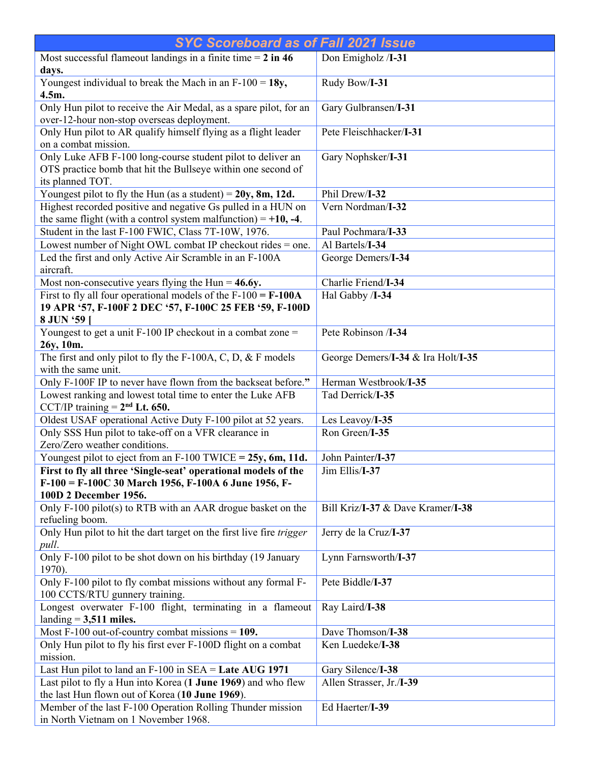| <b>SYC Scoreboard as of Fall 2021 Issue</b>                                                                                                     |                                    |  |
|-------------------------------------------------------------------------------------------------------------------------------------------------|------------------------------------|--|
| Most successful flameout landings in a finite time $= 2$ in 46<br>days.                                                                         | Don Emigholz /I-31                 |  |
| Youngest individual to break the Mach in an $F-100 = 18y$ ,<br>4.5m.                                                                            | Rudy Bow/I-31                      |  |
| Only Hun pilot to receive the Air Medal, as a spare pilot, for an<br>over-12-hour non-stop overseas deployment.                                 | Gary Gulbransen/I-31               |  |
| Only Hun pilot to AR qualify himself flying as a flight leader<br>on a combat mission.                                                          | Pete Fleischhacker/I-31            |  |
| Only Luke AFB F-100 long-course student pilot to deliver an<br>OTS practice bomb that hit the Bullseye within one second of<br>its planned TOT. | Gary Nophsker/I-31                 |  |
| Youngest pilot to fly the Hun (as a student) = $20y$ , 8m, 12d.                                                                                 | Phil Drew/I-32                     |  |
| Highest recorded positive and negative Gs pulled in a HUN on                                                                                    | Vern Nordman/I-32                  |  |
| the same flight (with a control system malfunction) = $+10$ , -4.                                                                               |                                    |  |
| Student in the last F-100 FWIC, Class 7T-10W, 1976.                                                                                             | Paul Pochmara/I-33                 |  |
| Lowest number of Night OWL combat IP checkout rides = one.                                                                                      | Al Bartels/I-34                    |  |
| Led the first and only Active Air Scramble in an F-100A<br>aircraft.                                                                            | George Demers/I-34                 |  |
| Most non-consecutive years flying the Hun = $46.6y$ .                                                                                           | Charlie Friend/I-34                |  |
| First to fly all four operational models of the $F-100 = F-100A$<br>19 APR '57, F-100F 2 DEC '57, F-100C 25 FEB '59, F-100D<br>8 JUN '59        | Hal Gabby /I-34                    |  |
| Youngest to get a unit $F-100$ IP checkout in a combat zone =<br>26y, 10m.                                                                      | Pete Robinson /I-34                |  |
| The first and only pilot to fly the F-100A, C, $\overline{D}$ , & F models<br>with the same unit.                                               | George Demers/I-34 & Ira Holt/I-35 |  |
| Only F-100F IP to never have flown from the backseat before."                                                                                   | Herman Westbrook/I-35              |  |
| Lowest ranking and lowest total time to enter the Luke AFB<br>CCT/IP training $= 2nd$ Lt. 650.                                                  | Tad Derrick/I-35                   |  |
| Oldest USAF operational Active Duty F-100 pilot at 52 years.                                                                                    | Les Leavoy/I-35                    |  |
| Only SSS Hun pilot to take-off on a VFR clearance in<br>Zero/Zero weather conditions.                                                           | Ron Green/I-35                     |  |
| Youngest pilot to eject from an $F-100$ TWICE = 25y, 6m, 11d.                                                                                   | John Painter/I-37                  |  |
| First to fly all three 'Single-seat' operational models of the                                                                                  | Jim Ellis/I-37                     |  |
| F-100 = F-100C 30 March 1956, F-100A 6 June 1956, F-<br>100D 2 December 1956.                                                                   |                                    |  |
| Only F-100 pilot(s) to RTB with an AAR drogue basket on the<br>refueling boom.                                                                  | Bill Kriz/I-37 & Dave Kramer/I-38  |  |
| Only Hun pilot to hit the dart target on the first live fire trigger<br>pull.                                                                   | Jerry de la Cruz/I-37              |  |
| Only F-100 pilot to be shot down on his birthday (19 January<br>1970).                                                                          | Lynn Farnsworth/I-37               |  |
| Only F-100 pilot to fly combat missions without any formal F-<br>100 CCTS/RTU gunnery training.                                                 | Pete Biddle/I-37                   |  |
| Longest overwater F-100 flight, terminating in a flameout<br>landing $= 3,511$ miles.                                                           | Ray Laird/I-38                     |  |
| Most F-100 out-of-country combat missions $= 109$ .                                                                                             | Dave Thomson/I-38                  |  |
| Only Hun pilot to fly his first ever F-100D flight on a combat<br>mission.                                                                      | Ken Luedeke/I-38                   |  |
| Last Hun pilot to land an $F-100$ in $SEA =$ Late AUG 1971                                                                                      | Gary Silence/I-38                  |  |
| Last pilot to fly a Hun into Korea (1 June 1969) and who flew                                                                                   | Allen Strasser, Jr./I-39           |  |
| the last Hun flown out of Korea (10 June 1969).                                                                                                 |                                    |  |
| Member of the last F-100 Operation Rolling Thunder mission                                                                                      | Ed Haerter/I-39                    |  |
| in North Vietnam on 1 November 1968.                                                                                                            |                                    |  |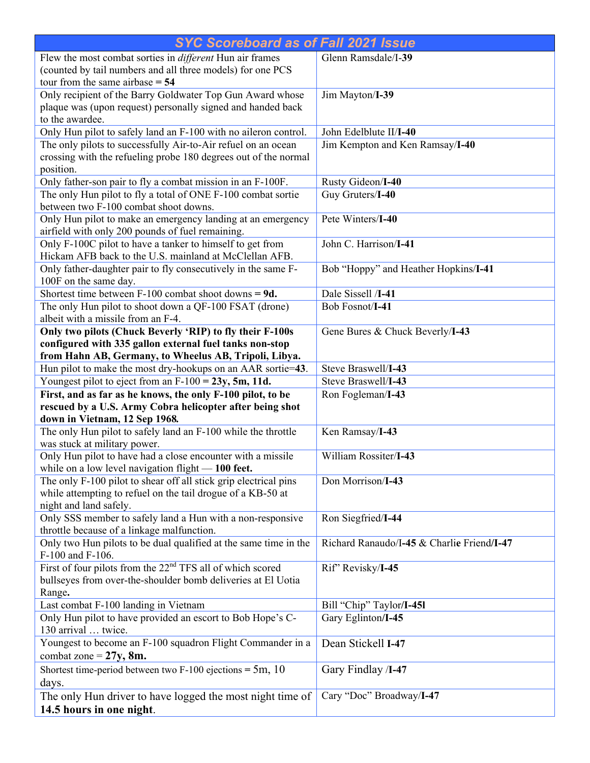| <b>SYC Scoreboard as of Fall 2021 Issue</b>                                                                     |                                            |  |
|-----------------------------------------------------------------------------------------------------------------|--------------------------------------------|--|
| Flew the most combat sorties in different Hun air frames                                                        | Glenn Ramsdale/I-39                        |  |
| (counted by tail numbers and all three models) for one PCS                                                      |                                            |  |
| tour from the same airbase $= 54$                                                                               |                                            |  |
| Only recipient of the Barry Goldwater Top Gun Award whose                                                       | Jim Mayton/I-39                            |  |
| plaque was (upon request) personally signed and handed back                                                     |                                            |  |
| to the awardee.                                                                                                 |                                            |  |
| Only Hun pilot to safely land an F-100 with no aileron control.                                                 | John Edelblute II/I-40                     |  |
| The only pilots to successfully Air-to-Air refuel on an ocean                                                   | Jim Kempton and Ken Ramsay/I-40            |  |
| crossing with the refueling probe 180 degrees out of the normal<br>position.                                    |                                            |  |
| Only father-son pair to fly a combat mission in an F-100F.                                                      | Rusty Gideon/I-40                          |  |
| The only Hun pilot to fly a total of ONE F-100 combat sortie                                                    | Guy Gruters/I-40                           |  |
| between two F-100 combat shoot downs.                                                                           |                                            |  |
| Only Hun pilot to make an emergency landing at an emergency<br>airfield with only 200 pounds of fuel remaining. | Pete Winters/I-40                          |  |
| Only F-100C pilot to have a tanker to himself to get from                                                       | John C. Harrison/I-41                      |  |
| Hickam AFB back to the U.S. mainland at McClellan AFB.                                                          |                                            |  |
| Only father-daughter pair to fly consecutively in the same F-                                                   | Bob "Hoppy" and Heather Hopkins/I-41       |  |
| 100F on the same day.                                                                                           |                                            |  |
| Shortest time between $F-100$ combat shoot downs = 9d.                                                          | Dale Sissell /I-41                         |  |
| The only Hun pilot to shoot down a QF-100 FSAT (drone)                                                          | Bob Fosnot/I-41                            |  |
| albeit with a missile from an F-4.                                                                              |                                            |  |
| Only two pilots (Chuck Beverly 'RIP) to fly their F-100s                                                        | Gene Bures & Chuck Beverly/I-43            |  |
| configured with 335 gallon external fuel tanks non-stop                                                         |                                            |  |
| from Hahn AB, Germany, to Wheelus AB, Tripoli, Libya.                                                           |                                            |  |
| Hun pilot to make the most dry-hookups on an AAR sortie=43.                                                     | Steve Braswell/I-43                        |  |
| Youngest pilot to eject from an $F-100 = 23y$ , 5m, 11d.                                                        | Steve Braswell/I-43                        |  |
| First, and as far as he knows, the only F-100 pilot, to be                                                      | Ron Fogleman/I-43                          |  |
| rescued by a U.S. Army Cobra helicopter after being shot                                                        |                                            |  |
| down in Vietnam, 12 Sep 1968.                                                                                   |                                            |  |
| The only Hun pilot to safely land an F-100 while the throttle<br>was stuck at military power.                   | Ken Ramsay/I-43                            |  |
| Only Hun pilot to have had a close encounter with a missile                                                     | William Rossiter/I-43                      |  |
| while on a low level navigation flight $-100$ feet.                                                             |                                            |  |
| The only F-100 pilot to shear off all stick grip electrical pins                                                | Don Morrison/I-43                          |  |
| while attempting to refuel on the tail drogue of a KB-50 at                                                     |                                            |  |
| night and land safely.                                                                                          |                                            |  |
| Only SSS member to safely land a Hun with a non-responsive                                                      | Ron Siegfried/I-44                         |  |
| throttle because of a linkage malfunction.                                                                      |                                            |  |
| Only two Hun pilots to be dual qualified at the same time in the                                                | Richard Ranaudo/I-45 & Charlie Friend/I-47 |  |
| F-100 and F-106.                                                                                                |                                            |  |
| First of four pilots from the 22 <sup>nd</sup> TFS all of which scored                                          | Rif" Revisky/I-45                          |  |
| bullseyes from over-the-shoulder bomb deliveries at El Uotia                                                    |                                            |  |
| Range.                                                                                                          |                                            |  |
| Last combat F-100 landing in Vietnam                                                                            | Bill "Chip" Taylor/I-451                   |  |
| Only Hun pilot to have provided an escort to Bob Hope's C-<br>130 arrival  twice.                               | Gary Eglinton/I-45                         |  |
| Youngest to become an F-100 squadron Flight Commander in a                                                      | Dean Stickell I-47                         |  |
| combat zone = $27y$ , 8m.                                                                                       |                                            |  |
| Shortest time-period between two F-100 ejections = $5m$ , 10                                                    | Gary Findlay /I-47                         |  |
| days.                                                                                                           |                                            |  |
| The only Hun driver to have logged the most night time of                                                       | Cary "Doc" Broadway/I-47                   |  |
| 14.5 hours in one night.                                                                                        |                                            |  |